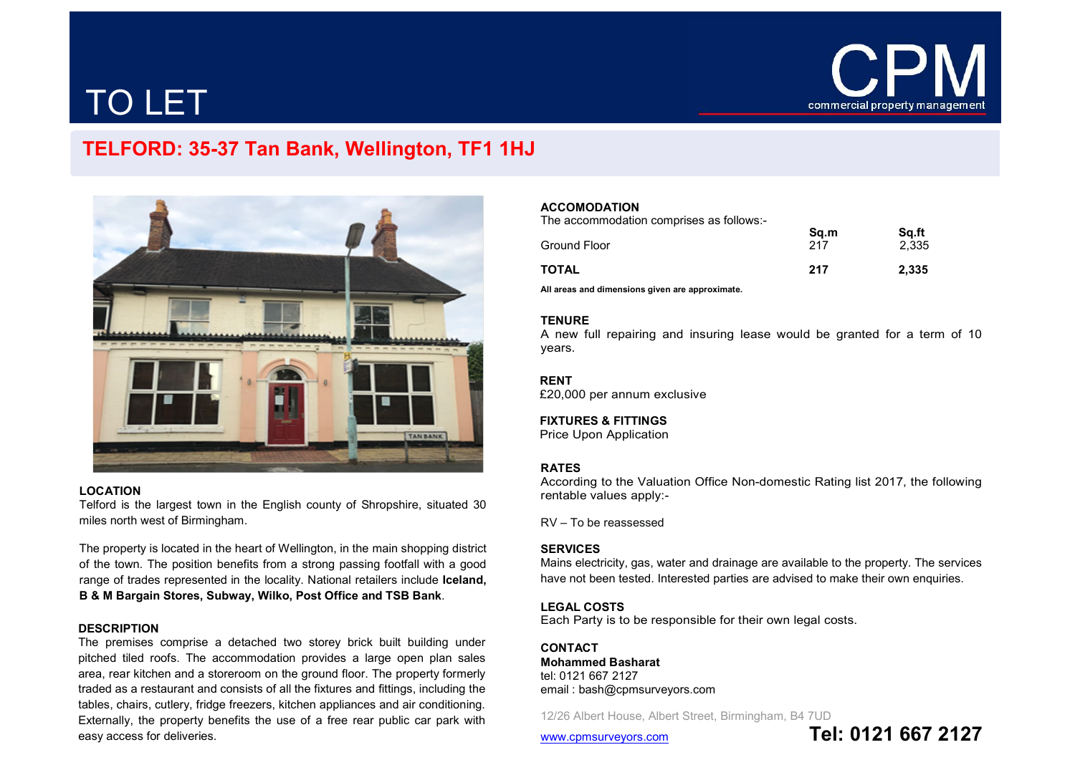

# TO LET

## TELFORD: 35-37 Tan Bank, Wellington, TF1 1HJ



#### LOCATION

Telford is the largest town in the English county of Shropshire, situated 30 miles north west of Birmingham.

The property is located in the heart of Wellington, in the main shopping district of the town. The position benefits from a strong passing footfall with a good range of trades represented in the locality. National retailers include Iceland, B & M Bargain Stores, Subway, Wilko, Post Office and TSB Bank.

#### **DESCRIPTION**

The premises comprise a detached two storey brick built building under pitched tiled roofs. The accommodation provides a large open plan sales area, rear kitchen and a storeroom on the ground floor. The property formerly traded as a restaurant and consists of all the fixtures and fittings, including the tables, chairs, cutlery, fridge freezers, kitchen appliances and air conditioning. Externally, the property benefits the use of a free rear public car park with easy access for deliveries.

### ACCOMODATION

The accommodation comprises as follows:-

| Ground Floor | Sq.m<br>217 | Sq.ft<br>2.335 |
|--------------|-------------|----------------|
| TOTAL        | 217         | 2.335          |

All areas and dimensions given are approximate.

#### **TENURE**

A new full repairing and insuring lease would be granted for a term of 10 years.

#### RENT

£20,000 per annum exclusive

#### FIXTURES & FITTINGS

Price Upon Application

#### RATES

According to the Valuation Office Non-domestic Rating list 2017, the following rentable values apply:-

RV – To be reassessed

#### **SERVICES**

Mains electricity, gas, water and drainage are available to the property. The services have not been tested. Interested parties are advised to make their own enquiries.

#### LEGAL COSTS

Each Party is to be responsible for their own legal costs.

**CONTACT** Mohammed Basharat tel: 0121 667 2127 email : bash@cpmsurveyors.com

12/26 Albert House, Albert Street, Birmingham, B4 7UD